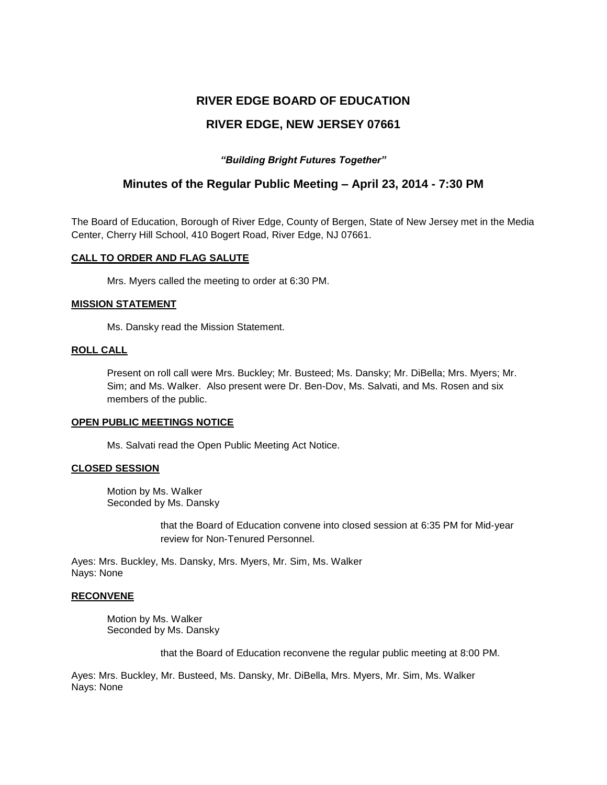# **RIVER EDGE BOARD OF EDUCATION RIVER EDGE, NEW JERSEY 07661**

# *"Building Bright Futures Together"*

# **Minutes of the Regular Public Meeting – April 23, 2014 - 7:30 PM**

The Board of Education, Borough of River Edge, County of Bergen, State of New Jersey met in the Media Center, Cherry Hill School, 410 Bogert Road, River Edge, NJ 07661.

# **CALL TO ORDER AND FLAG SALUTE**

Mrs. Myers called the meeting to order at 6:30 PM.

#### **MISSION STATEMENT**

Ms. Dansky read the Mission Statement.

#### **ROLL CALL**

Present on roll call were Mrs. Buckley; Mr. Busteed; Ms. Dansky; Mr. DiBella; Mrs. Myers; Mr. Sim; and Ms. Walker. Also present were Dr. Ben-Dov, Ms. Salvati, and Ms. Rosen and six members of the public.

#### **OPEN PUBLIC MEETINGS NOTICE**

Ms. Salvati read the Open Public Meeting Act Notice.

#### **CLOSED SESSION**

Motion by Ms. Walker Seconded by Ms. Dansky

> that the Board of Education convene into closed session at 6:35 PM for Mid-year review for Non-Tenured Personnel.

Ayes: Mrs. Buckley, Ms. Dansky, Mrs. Myers, Mr. Sim, Ms. Walker Nays: None

#### **RECONVENE**

Motion by Ms. Walker Seconded by Ms. Dansky

that the Board of Education reconvene the regular public meeting at 8:00 PM.

Ayes: Mrs. Buckley, Mr. Busteed, Ms. Dansky, Mr. DiBella, Mrs. Myers, Mr. Sim, Ms. Walker Nays: None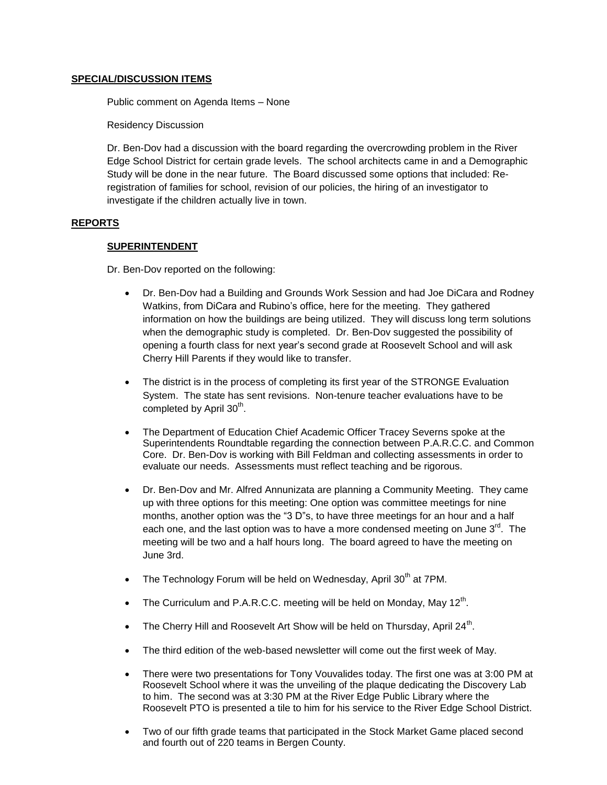#### **SPECIAL/DISCUSSION ITEMS**

Public comment on Agenda Items – None

Residency Discussion

Dr. Ben-Dov had a discussion with the board regarding the overcrowding problem in the River Edge School District for certain grade levels. The school architects came in and a Demographic Study will be done in the near future. The Board discussed some options that included: Reregistration of families for school, revision of our policies, the hiring of an investigator to investigate if the children actually live in town.

# **REPORTS**

#### **SUPERINTENDENT**

Dr. Ben-Dov reported on the following:

- Dr. Ben-Dov had a Building and Grounds Work Session and had Joe DiCara and Rodney Watkins, from DiCara and Rubino's office, here for the meeting. They gathered information on how the buildings are being utilized. They will discuss long term solutions when the demographic study is completed. Dr. Ben-Dov suggested the possibility of opening a fourth class for next year's second grade at Roosevelt School and will ask Cherry Hill Parents if they would like to transfer.
- The district is in the process of completing its first year of the STRONGE Evaluation System. The state has sent revisions. Non-tenure teacher evaluations have to be completed by April 30<sup>th</sup>.
- The Department of Education Chief Academic Officer Tracey Severns spoke at the Superintendents Roundtable regarding the connection between P.A.R.C.C. and Common Core. Dr. Ben-Dov is working with Bill Feldman and collecting assessments in order to evaluate our needs. Assessments must reflect teaching and be rigorous.
- Dr. Ben-Dov and Mr. Alfred Annunizata are planning a Community Meeting. They came up with three options for this meeting: One option was committee meetings for nine months, another option was the "3 D"s, to have three meetings for an hour and a half each one, and the last option was to have a more condensed meeting on June  $3^{rd}$ . The meeting will be two and a half hours long. The board agreed to have the meeting on June 3rd.
- The Technology Forum will be held on Wednesday, April 30<sup>th</sup> at 7PM.
- The Curriculum and P.A.R.C.C. meeting will be held on Monday, May  $12^{th}$ .
- The Cherry Hill and Roosevelt Art Show will be held on Thursday, April 24<sup>th</sup>.
- The third edition of the web-based newsletter will come out the first week of May.
- There were two presentations for Tony Vouvalides today. The first one was at 3:00 PM at Roosevelt School where it was the unveiling of the plaque dedicating the Discovery Lab to him. The second was at 3:30 PM at the River Edge Public Library where the Roosevelt PTO is presented a tile to him for his service to the River Edge School District.
- Two of our fifth grade teams that participated in the Stock Market Game placed second and fourth out of 220 teams in Bergen County.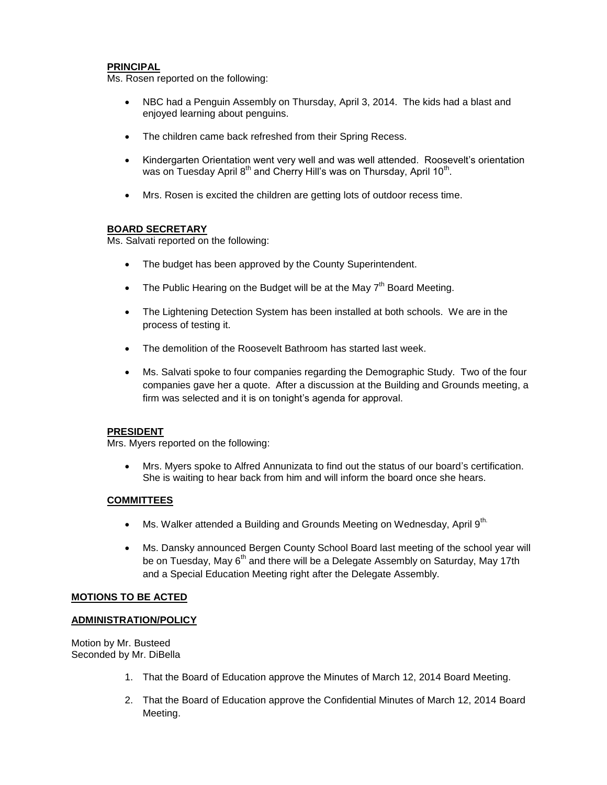# **PRINCIPAL**

Ms. Rosen reported on the following:

- NBC had a Penguin Assembly on Thursday, April 3, 2014. The kids had a blast and enjoyed learning about penguins.
- The children came back refreshed from their Spring Recess.
- Kindergarten Orientation went very well and was well attended. Roosevelt's orientation was on Tuesday April 8<sup>th</sup> and Cherry Hill's was on Thursday, April 10<sup>th</sup>.
- Mrs. Rosen is excited the children are getting lots of outdoor recess time.

# **BOARD SECRETARY**

Ms. Salvati reported on the following:

- The budget has been approved by the County Superintendent.
- The Public Hearing on the Budget will be at the May  $7<sup>th</sup>$  Board Meeting.
- The Lightening Detection System has been installed at both schools. We are in the process of testing it.
- The demolition of the Roosevelt Bathroom has started last week.
- Ms. Salvati spoke to four companies regarding the Demographic Study. Two of the four companies gave her a quote. After a discussion at the Building and Grounds meeting, a firm was selected and it is on tonight's agenda for approval.

#### **PRESIDENT**

Mrs. Myers reported on the following:

 Mrs. Myers spoke to Alfred Annunizata to find out the status of our board's certification. She is waiting to hear back from him and will inform the board once she hears.

# **COMMITTEES**

- $\bullet$  Ms. Walker attended a Building and Grounds Meeting on Wednesday, April 9<sup>th.</sup>
- Ms. Dansky announced Bergen County School Board last meeting of the school year will be on Tuesday, May  $6<sup>th</sup>$  and there will be a Delegate Assembly on Saturday, May 17th and a Special Education Meeting right after the Delegate Assembly.

#### **MOTIONS TO BE ACTED**

#### **ADMINISTRATION/POLICY**

Motion by Mr. Busteed Seconded by Mr. DiBella

- 1. That the Board of Education approve the Minutes of March 12, 2014 Board Meeting.
- 2. That the Board of Education approve the Confidential Minutes of March 12, 2014 Board Meeting.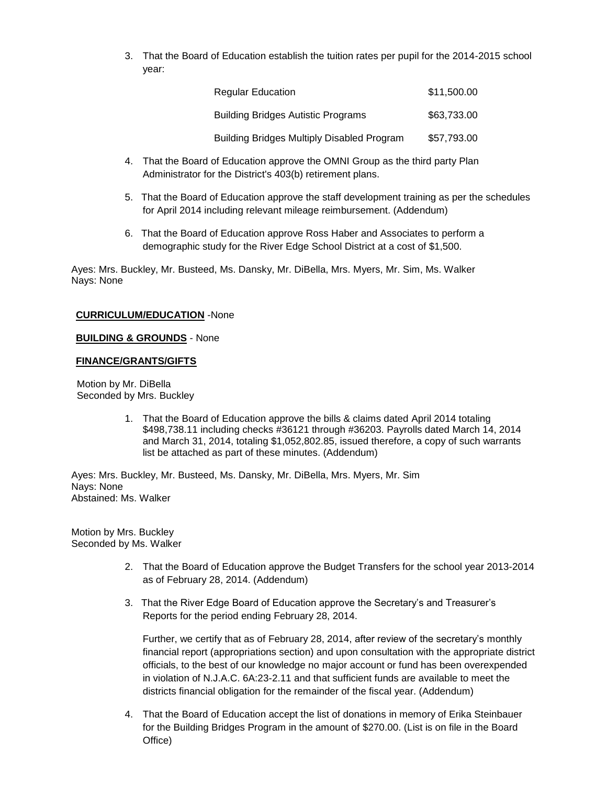3. That the Board of Education establish the tuition rates per pupil for the 2014-2015 school year:

| <b>Regular Education</b>                          | \$11,500,00 |
|---------------------------------------------------|-------------|
| <b>Building Bridges Autistic Programs</b>         | \$63,733,00 |
| <b>Building Bridges Multiply Disabled Program</b> | \$57,793,00 |

- 4. That the Board of Education approve the OMNI Group as the third party Plan Administrator for the District's 403(b) retirement plans.
- 5. That the Board of Education approve the staff development training as per the schedules for April 2014 including relevant mileage reimbursement. (Addendum)
- 6. That the Board of Education approve Ross Haber and Associates to perform a demographic study for the River Edge School District at a cost of \$1,500.

Ayes: Mrs. Buckley, Mr. Busteed, Ms. Dansky, Mr. DiBella, Mrs. Myers, Mr. Sim, Ms. Walker Nays: None

#### **CURRICULUM/EDUCATION** -None

#### **BUILDING & GROUNDS** - None

#### **FINANCE/GRANTS/GIFTS**

 Motion by Mr. DiBella Seconded by Mrs. Buckley

> 1. That the Board of Education approve the bills & claims dated April 2014 totaling \$498,738.11 including checks #36121 through #36203. Payrolls dated March 14, 2014 and March 31, 2014, totaling \$1,052,802.85, issued therefore, a copy of such warrants list be attached as part of these minutes. (Addendum)

Ayes: Mrs. Buckley, Mr. Busteed, Ms. Dansky, Mr. DiBella, Mrs. Myers, Mr. Sim Nays: None Abstained: Ms. Walker

Motion by Mrs. Buckley Seconded by Ms. Walker

- 2. That the Board of Education approve the Budget Transfers for the school year 2013-2014 as of February 28, 2014. (Addendum)
- 3. That the River Edge Board of Education approve the Secretary's and Treasurer's Reports for the period ending February 28, 2014.

Further, we certify that as of February 28, 2014, after review of the secretary's monthly financial report (appropriations section) and upon consultation with the appropriate district officials, to the best of our knowledge no major account or fund has been overexpended in violation of N.J.A.C. 6A:23-2.11 and that sufficient funds are available to meet the districts financial obligation for the remainder of the fiscal year. (Addendum)

4. That the Board of Education accept the list of donations in memory of Erika Steinbauer for the Building Bridges Program in the amount of \$270.00. (List is on file in the Board Office)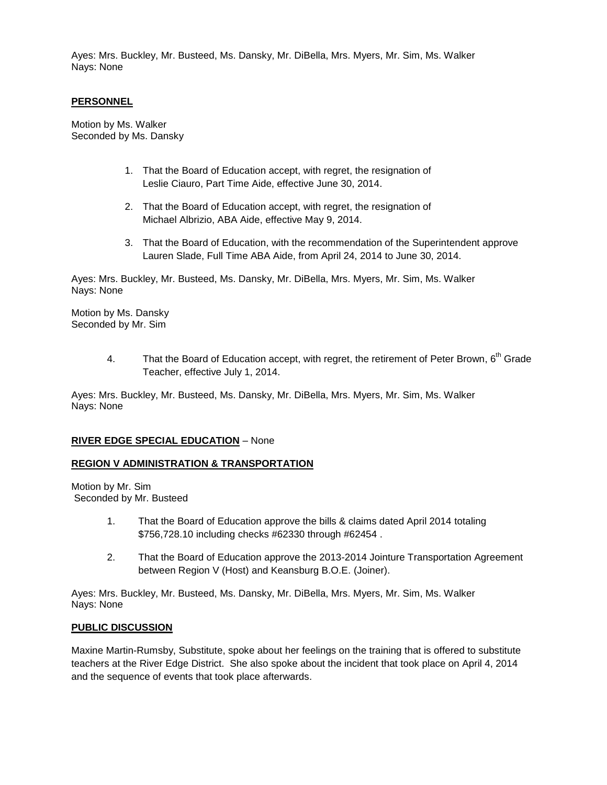Ayes: Mrs. Buckley, Mr. Busteed, Ms. Dansky, Mr. DiBella, Mrs. Myers, Mr. Sim, Ms. Walker Nays: None

# **PERSONNEL**

Motion by Ms. Walker Seconded by Ms. Dansky

- 1. That the Board of Education accept, with regret, the resignation of Leslie Ciauro, Part Time Aide, effective June 30, 2014.
- 2. That the Board of Education accept, with regret, the resignation of Michael Albrizio, ABA Aide, effective May 9, 2014.
- 3. That the Board of Education, with the recommendation of the Superintendent approve Lauren Slade, Full Time ABA Aide, from April 24, 2014 to June 30, 2014.

Ayes: Mrs. Buckley, Mr. Busteed, Ms. Dansky, Mr. DiBella, Mrs. Myers, Mr. Sim, Ms. Walker Nays: None

Motion by Ms. Dansky Seconded by Mr. Sim

> 4. That the Board of Education accept, with regret, the retirement of Peter Brown,  $6<sup>th</sup>$  Grade Teacher, effective July 1, 2014.

Ayes: Mrs. Buckley, Mr. Busteed, Ms. Dansky, Mr. DiBella, Mrs. Myers, Mr. Sim, Ms. Walker Nays: None

#### **RIVER EDGE SPECIAL EDUCATION** – None

#### **REGION V ADMINISTRATION & TRANSPORTATION**

Motion by Mr. Sim Seconded by Mr. Busteed

- 1. That the Board of Education approve the bills & claims dated April 2014 totaling \$756,728.10 including checks #62330 through #62454 .
- 2. That the Board of Education approve the 2013-2014 Jointure Transportation Agreement between Region V (Host) and Keansburg B.O.E. (Joiner).

Ayes: Mrs. Buckley, Mr. Busteed, Ms. Dansky, Mr. DiBella, Mrs. Myers, Mr. Sim, Ms. Walker Nays: None

#### **PUBLIC DISCUSSION**

Maxine Martin-Rumsby, Substitute, spoke about her feelings on the training that is offered to substitute teachers at the River Edge District. She also spoke about the incident that took place on April 4, 2014 and the sequence of events that took place afterwards.